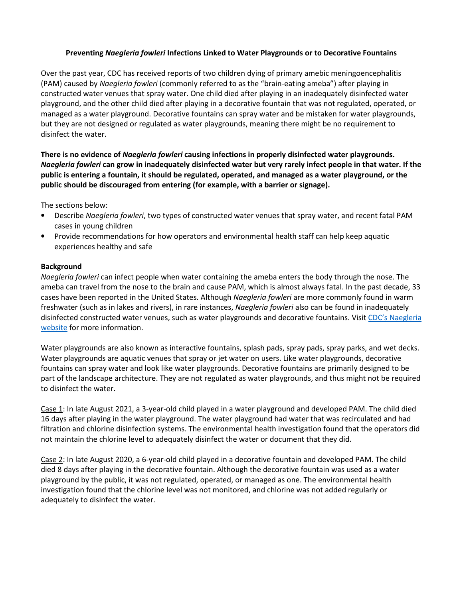## Preventing Naegleria fowleri Infections Linked to Water Playgrounds or to Decorative Fountains

Over the past year, CDC has received reports of two children dying of primary amebic meningoencephalitis (PAM) caused by Naegleria fowleri (commonly referred to as the "brain-eating ameba") after playing in constructed water venues that spray water. One child died after playing in an inadequately disinfected water playground, and the other child died after playing in a decorative fountain that was not regulated, operated, or managed as a water playground. Decorative fountains can spray water and be mistaken for water playgrounds, but they are not designed or regulated as water playgrounds, meaning there might be no requirement to disinfect the water.

There is no evidence of Naegleria fowleri causing infections in properly disinfected water playgrounds. Naegleria fowleri can grow in inadequately disinfected water but very rarely infect people in that water. If the public is entering a fountain, it should be regulated, operated, and managed as a water playground, or the public should be discouraged from entering (for example, with a barrier or signage).

The sections below:

- Describe Naegleria fowleri, two types of constructed water venues that spray water, and recent fatal PAM cases in young children
- Provide recommendations for how operators and environmental health staff can help keep aquatic experiences healthy and safe

## Background

Naegleria fowleri can infect people when water containing the ameba enters the body through the nose. The ameba can travel from the nose to the brain and cause PAM, which is almost always fatal. In the past decade, 33 cases have been reported in the United States. Although Naegleria fowleri are more commonly found in warm freshwater (such as in lakes and rivers), in rare instances, Naegleria fowleri also can be found in inadequately disinfected constructed water venues, such as water playgrounds and decorative fountains. Visit CDC's Naegleria website for more information.

Water playgrounds are also known as interactive fountains, splash pads, spray pads, spray parks, and wet decks. Water playgrounds are aquatic venues that spray or jet water on users. Like water playgrounds, decorative fountains can spray water and look like water playgrounds. Decorative fountains are primarily designed to be part of the landscape architecture. They are not regulated as water playgrounds, and thus might not be required to disinfect the water.

Case 1: In late August 2021, a 3-year-old child played in a water playground and developed PAM. The child died 16 days after playing in the water playground. The water playground had water that was recirculated and had filtration and chlorine disinfection systems. The environmental health investigation found that the operators did not maintain the chlorine level to adequately disinfect the water or document that they did.

Case 2: In late August 2020, a 6-year-old child played in a decorative fountain and developed PAM. The child died 8 days after playing in the decorative fountain. Although the decorative fountain was used as a water playground by the public, it was not regulated, operated, or managed as one. The environmental health investigation found that the chlorine level was not monitored, and chlorine was not added regularly or adequately to disinfect the water.